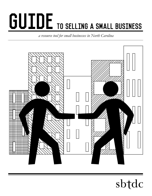# GUIDE TO SELLING A SMALL BUSINESS

*a resource tool for small businesses in North Carolina*



sbtdc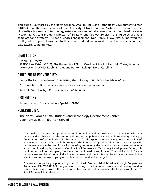This guide is authored by the North Carolina Small Business and Technology Development Center (SBTDC), a multi-campus center of The University of North Carolina System. It functions as The University's business and technology extension service. Initially researched and outlined by Kevin McConnaghy, State Program Director of Strategy and Growth Services, this guide served as a template for a Strategy & Growth Services engagement. Dan Tracey, a Law Extern, improved the draft guide last year. It was then further refined, edited and revised this past semester by another Law Extern, Laura Burkett.

# Lead Editor:

Daniel K. Tracey SBTDC, Law Extern (2014), The University of North Carolina School of Law. Mr. Tracey is now an attorney with Wyrick Robbins Yates and Ponton, Raleigh, North Carolina

# Other Edits Provided by:

Laura Burkett Law Extern (2015), SBTDC, The University of North Carolina School of Law.

Andrew Santulli Counselor, SBTDC at Winston-Salem State University

Scott R. Daugherty, J.D. State Director of the SBTDC

### DESIGNED by:

Jamie Forbes Communications Specialist, SBTDC

## Published by:

The North Carolina Small Business and Technology Development Center Copyright 2015, All Rights Reserved

This guide is designed to provide useful information and is provided to the reader with the understanding that neither the author, editors, nor the publisher is engaged in rendering paid legal, financial, or professional advice in this regard. If such expert assistance is required, the services of a competent professional should be sought. The information provided does not constitute specific recommendations to be used for decision-making purposes by the individual reader. Unless otherwise authorized in writing by the North Carolina Small Business and Technology Development Center, this publication shall not be copied, distributed, or duplicated in any format. This publication is for the personal use and benefit of an individual or business, and is not intended for commercial sale. In the event of authorized use, copying or duplication, no fee shall be charged.

This work was partially supported by the U.S. Small Business Administration through Cooperative Agreement #SB-2M-00110-30. Any opinions, findings, conclusions, or recommendations expressed in this publication are those of the author or editors, and do not necessarily reflect the views of the U.S. Small Business Administration.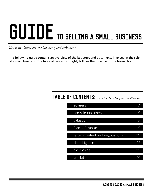# GUIDE TO SELLING A SMALL BUSINESS

*Key steps, documents, explanations, and definitions*

The following guide contains an overview of the key steps and documents involved in the sale of a small business. The table of contents roughly follows the timeline of the transaction.

# Table of Contents: *a timeline for selling your small business*

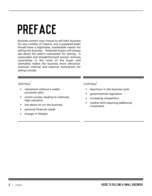# Preface

Business owners may choose to sell their business for any number of reasons, but a prepared seller should have a legitimate, marketable reason for selling the business. Potential buyers will always ask about the seller's motivation for exiting. A reasonable and straightforward answer removes uncertainty in the mind of the buyer and ultimately makes the business more attractive. Common internal and external motivations for selling include:

### *internal*

- retirement without a viable succession plan
- • recent success, leading to relatively high valuation
- lost desire to run the business
- • personal financial needs
- • change in lifestyle

### *external*

- • downturn in the business cycle
- governmental regulation
- increasing competition
- market shift requiring additional investment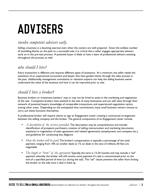# ADVISERS

# *involve competent advisers early.*

Selling a business is a daunting exercise even when the owners are well prepared. Given the endless number of stumbling blocks on the path to a successful sale, it is critical that a seller engages appropriate advisers early on in the pre-sale process. A potential buyer is likely to have a team of professional advisers assisting throughout the process, as well.

# *who should I hire?*

Every transaction is different and requires different types of assistance. At a minimum, the seller needs the assistance of an experienced accountant and lawyer that have guided clients through the sales process in the past. Additionally, management consultants or valuation experts can help the selling business owner understand the value of the business and how it can be improved prior to sale.

# *should I hire a broker?*

Business brokers or investment bankers<sup>1</sup> may or may not be hired to assist in the marketing and negotiation of the sale. Competent brokers have assisted in the sale of many businesses and can add value through their network of potential buyers, knowledge of comparable transactions, and experienced negotiation tactics, among other areas. Depending on the anticipated time commitment, many small business owners choose to carry out these functions themselves.

A professional broker will require clients to sign an Engagement Letter creating a contractual arrangement between the selling company and the broker. The general components of an Engagement Letter include:

- *• A description of the services provided.* The description may be comprehensive and include: identification of prospects purchasers, creation of selling memorandum and marketing documents, assistance in negotiation of sales agreement and related agreements (employment, non-compete, etc.), and guidelines for conducting due diligence
- *• How the broker will be paid.* The broker's compensation is typically a percentage of the total payment, ranging from 10% on smaller deals to 1% on deals in the tens of millions. All fees are negotiable
- *The length or "term" of the agreement*. Typically, the term is 12-24 months and may include a "tail" payment whereby the broker will still receive some payment if a sale is consummated prior to the end of a specified period of time (i.e. during the tail). The "tail" clause prevents the seller from kicking the broker to the side once a deal is lined up.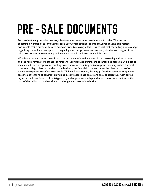# PRE-SALE DOCUMENTS

Prior to beginning the sales process, a business must ensure its own house is in order. This involves collecting or drafting the key business formation, organizational, operational, financial, and sale-related documents that a buyer will ask to examine prior to closing a deal. It is critical that the selling business begin organizing these documents prior to beginning the sales process because delays in the later stages of the sales process can cause serious problems with the sale and may even kill the deal.

Whether a business must have all, most, or just a few of the documents listed below depends on its size and the requirements of potential purchasers. Sophisticated purchasers or larger businesses may expect to see an audit from a regional accounting firm, whereas accounting software print-outs may suffice for smaller companies. Regardless of the size of the business, the financial statements must be cleansed of profitavoidance expenses to reflect true profit ("Seller's Discretionary Earnings). Another common snag is the presence of "change of control" provisions in contracts. These provisions provide executives with certain payments and benefits, are often triggered by a change in ownership, and may require some action on the part of the selling party when there is a change in control of the business.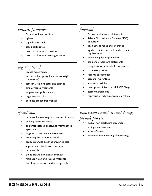# *business formation*

- Articles of Incorporation
- bylaws
- capitalization table
- stock certificates
- board of directors resolutions
- board of directors meeting minutes

# *organizational*

- license agreements
- intellectual property (patents, copyrights, trademarks)
- staff list with hire dates and salaries
- employment agreements
- employment policy manual
- organizational chart
- business procedures manual

# *financial*

- 2-3 years of financial statements
- Seller's Discretionary Earnings (SDE) calculation
- key financial ratios and/or trends
- aged accounts receivable and accounts payable reports
- outstanding loan agreements
- bank and credit card statements
- Corporate or Schedule C tax returns
- promissory notes
- security agreements
- personal guarantees
- insurance policies
- description of liens and all UCC filings
- escrow agreements
- depreciation schedule from tax return

# *operational*

- business licenses, registrations, certifications
- building leases or deeds
- equipment leases, deeds, and maintenance agreements
- litigation or settlement agreements
- inventory list with value details
- product/service descriptions, price lists
- supplier and distributor contracts
- business plan
- client list and key client contracts
- marketing plan and related materials
- list of future opportunities for growth

# *transaction-related (created during*

# *pre-sale process)*

- mutual non-disclosure agreement
- selling memorandum
- letter of intent
- note for seller financing (if necessary)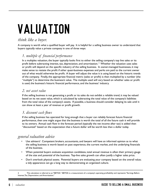# VALUATION

# *think like a buyer.*

A company is worth what a qualified buyer will pay. It is helpful for a selling business owner to understand that buyers typically value a private company in one of three ways:

# *1. multiple of financial performance*

In a multiples valuation, the buyer typically looks first to either the selling company's top line sales or its profit before subtracting interest, tax, depreciation, and amortization.  $2$  Whether the valuation uses sales or profit will depend on the specific industry of the selling business. In owner-managed businesses, it may make sense to restate the profit if other quasi-business expenses and perks are paid to the current owner out of what would otherwise be profit. A buyer will adjust the value it is using based on the historic trends of the company. Finally, the appropriate financial metric (sales or profit) is then multiplied by a number (the "multiple") to determine the business's value. The multiple used will vary based on whether sales or profit is used, the business's historic financial performance, and the business' industry.

## *2. net asset value*

If the selling business is not generating a profit or its sales do not exhibit a reliable trend, it may be valued based on its net asset value, which is calculated by subtracting the total value of the company's liabilities from the total value of the company's assets. If possible, a business should consider delaying its sale until it can show at least a year of revenue or profit growth.

# *3. discount cash flows*

If the selling business has operated for long enough that a buyer can reliably forecast future financial performance, then one might argue that the business is worth the total of all the future cash it will provide to its owners. Annual cash flow in the forecast period (typically the net income after tax) is added then "discounted" based on the expectation that a future dollar will be worth less than a dollar today.

# *general valuation advice*

- Use advisers! Competent brokers, accountants, and lawyers will have an informed opinion as to what the selling business is worth based on past experience, the current market, and the underlying financials of the business.
- When potential buyers evaluate acquisition candidates, total annual revenue is often their primary gauge of the size and potential of the business. Top-line sales growth can often justify a higher sales price.
- Don't overlook physical assets. Potential buyers are evaluating your company based on the overall value; a tidy appearance can go a long way to demonstrating an organized culture.

<sup>2</sup> This calculation is referred to as "EBITDA." EBITDA is a measurement of a company's operating profitability and represents "Earnings Before Interest, Tax, Depreciation, and Amortization."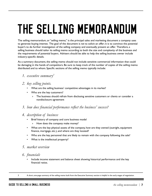# THE SELLING MEMORANDUM

The selling memorandum, or "selling memo," is the principal sales and marketing document a company uses to generate buying interest. The goal of the document is *not* to solicit an offer; it is to convince the potential buyer's to do further investigation of the selling company and eventually present an offer. Therefore, a selling business should tailor its selling memo according to both the size and complexity of the business *and*  the requirements of potential buyers. Advisers should be able to help the selling business owner include industry-specific details.

As a summary document, the selling memo should not include sensitive commercial information that could be damaging in the hands of competitors. Be sure to keep track of the number of copies of the selling memo distributed and to whom. Specific sections of the selling memo typically include:

*1. executive summary3*

#### *2. key selling points.*

- What are the selling business' competitive advantages in its market?
- Who are the key customers?
	- » The business should refrain from disclosing sensitive customers or clients or consider a nondisclosure agreement
- *3. how does financial performance reflect the business' success?*
- *4. description of business*
	- Brief history of company and core business model
		- » How does the company make money?
	- What are the key physical assets of the company, how are they owned (outright, equipment finance, mortgage, etc.), and where are they located?
	- Who are the key personnel that are likely to remain with the company following the sale?
	- What is the intellectual property?
- *5. market overview*

### *6. financials*

• Include income statement and balance sheet showing historical performance and the key financial ratios.

<sup>3</sup> A short, one-page summary of the selling memo built from the Executive Summary section is helpful in the early stages of negotiation.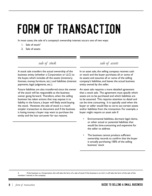# FORM OF TRANSACTION

In most cases, the sale of a company's ownership interest occurs one of two ways:

- $1.$  Sale of stock<sup>4</sup>
- 2. Sale of assets

## *sale of stock*

A stock sale transfers the actual ownership of the business entity (whether a Corporation or LLC) to the buyer, which includes all the assets (inventory, licenses, money, furniture, etc.) and liabilities (interest payments, legal judgments, etc.).

Future liabilities are also transferred since the owner of the stock will be responsible as the business owner going forward. Therefore, when the selling business has taken actions that may expose it to liability in the future, a buyer will likely avoid buying the stock. However, the sale of stock is a much simpler transaction to document and if the business is losing money a buyer may want to purchase the entity and the loss carryover for tax reasons.

*sale of assets*

In an asset sale, the selling company receives cash or stock and the buyer purchases all or some of its assets and assumes all or some of the selling company's liabilities, and leaves the actual business entity owned by the seller.

An asset sale requires a more detailed agreement than a stock sale. The agreement must specify which assets are to be purchased and which liabilities are to be assumed. This requires attention to detail and can be time consuming. It is typically used when the buyer or seller would like to carve out certain assets and/or liabilities from the transaction. For example, a buyer might require an asset sale if:

- Environmental liabilities, dormant legal claims, or other actual or potential liabilities that would be time-consuming and expensive for the seller to address
- The business cannot produce sufficient ownership records to confirm that the buyer is actually purchasing 100% of the selling business' stock

4 If the business is a Corporation, this will take the form of a sale of stock. If the business is an LLC, it will take the form of the sale of the members' interest in the company.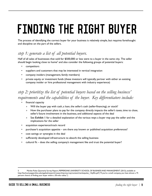# FINDING THE RIGHT BUYER

The process of identifying the correct buyer for your business is relatively simple, but requires forethought and discipline on the part of the sellers.

# *step 1: generate a list of all potential buyers.*

Half of all sales of businesses that sold for \$500,000 or less were to a buyer in the same city. The seller should begin looking close to home<sup>s</sup> and also consider the following groups of potential buyers:

- competitors
- suppliers and customers that may be interested in vertical integration
- company insiders (management, family members)
- private equity or investment funds (these investors will typically partner with either an existing company insider or hire professional management with industry experience)

# *step 2: prioritize the list of potential buyers based on the selling business' requirements and the capabilities of the buyer. Key differentiators include:*

- financial capacity
	- Will the buyer pay with cash, a loan, the seller's cash (seller-financing), or stock?
	- » How the purchaser plans to pay for the company directly impacts the seller's taxes, time to close, seller's future involvement in the business, and additional aspects of the deal
	- » See **Exhibit 1** for a detailed explanation of the various ways a buyer may pay the seller and the implications for the seller
- acquisition experience/track record
- purchaser's acquisition appetite are there any known or published acquisition preferences?
- cost savings or synergies in the deal
- sufficiently developed infrastructure to absorb the selling business
- cultural fit does the selling company's management like and trust the potential buyer?

Market Pulse: Quarterly Survey Report, PEPPERDINE UNIVERSITY SCHOOL OF BUSINESS AND MANAGEMENT (2013), available at http://bschool.pepperdine.edu/appliedresearch/research/pcmsurvey/content/marketpulse\_13q4fin.pdf ("If you're a small company, you have almost a 75 percent chance of finding your buyer within a 50-mile radius.").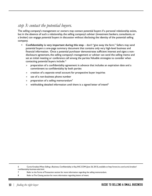# *step 3: contact the potential buyers.*

The selling company's management or owners may contact potential buyers if a personal relationship exists, but in the absence of such a relationship, the selling company's adviser (investment bankers, consultants, or a broker) can engage potential buyers in discussion without disclosing the identity of the potential selling company.

- **• Confidentiality is very important during this step** don't "give away the farm." Sellers may send potential buyers a one-page summary document that contains only very high-level business and financial information. Once a potential purchaser demonstrates sufficient interest and signs a nondisclosure agreement, the selling company's management or adviser can send the selling memo and set an initial meeting or conference call among the parties. Valuable strategies to consider when contacting potential buyers include: 6
	- » preparation of a confidentiality agreement in advance that includes an expiration date and a commitment to confidentiality by both parties
	- » creation of a separate email account for prospective buyer inquiries
	- » use of a non-business phone number
	- » preparation of a selling memorandum<sup>7</sup>
	- » withholding detailed information until there is a signed letter of intent<sup>8</sup>

6 Curtis Kroeker, When Selling a Business, Confidentiality is Key, INC.COM (June 26, 2013), available at http://www.inc.com/curtis-kroeker/ confidentiality-business-sale.html.

7 Refer to the Forms of Transaction section for more information regarding the selling memorandum.

8 Refer to The Closing section for more information regarding letters of intent.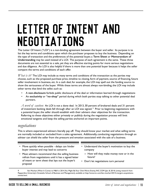# LETTER OF INTENT AND NEGOTIATIONS

The Letter Of Intent ("LOI") is a non-binding agreement between the buyer and seller. Its purpose is to list the key terms and conditions upon which the purchaser proposes to buy the business. Depending on the type of transaction and the preferences of the potential buyer, a **Term Sheet** or **Memorandum of Understanding** may be used instead of a LOI. The purpose of each agreement is the same. These three documents are not essential to a sale, yet they are effective starting points for more serious negotiations and due diligence. An LOI is also helpful if there is more than one potential buyer because it helps the seller compare the terms and conditions of each offer.

*What is it?* The LOI may include as many terms and conditions of the transaction as the parties may choose, such as: the proposed purchase price, timeline to closing, form of payment, source of financing, future seller involvement in business, etc. In a cash deal, for example, the LOI may spell out the funding source to show the seriousness of the buyer. While these terms are almost always non-binding, the LOI may include other terms that bind the seller, such as:

- A **non-disclosure** forbids public disclosure of the deal or information learned through negotiations
- An **exclusivity** or **"no-shop"** period during which both parties stop talking to other potential deal partners.

*A word of caution:* An LOI is not a done deal. In 2013, 30 percent of brokered deals and 31 percent of investment banking deals fell through after an LOI was signed.<sup>9</sup> Prior to beginning negotiations with a potential buyer, the seller should establish with their advisers clear objectives for the transaction. Referring to these objectives either privately or publicly during the negotiation process will limit emotional tangents and keep the selling parties anchored on important points.

### *negotiations*

This is where experienced advisers literally pay off. They should know your market and what selling terms are normally included or excluded from a sales agreement. Additionally, conducting negotiations through an adviser can shield the seller from the pressure and emotion associated with the sale of a business.

- Move quickly when possible delays can hinder buyer interest and may lead to concerns
- Most advisers recommend that the selling business refrain from negotiations until it has a signed letter of intent or term sheet that lays out the buyer's proposal
- Understand the buyer's motivation to buy the company
- » How will they make money now or in the future?
- Don't let negotiations turn personal

Ilan Mochari, When It Comes to M&A in 2014, You Might Be Your Own Worst Enemy, INC.COM (Jan. 8, 2014) (citing research from Pepperdine University's Graziadio School of Business and Management), available at http://www.inc.com/ilan-mochari/2014-mergers-acquisitionstrends.html.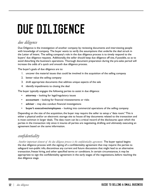# DUE DILIGENCE

# *due diligence*

Due Diligence is the investigation of another company by reviewing documents and interviewing people with knowledge of company. The buyer wants to verify the assumptions that underlie the deal struck in the Letter of Intent. The selling company's role in the due diligence process is to timely respond to the buyers' due diligence requests. Additionally, the seller should keep due diligence off site, if possible, so as to avoid disturbing the business's operations. Thorough document preparation during the pre-sales period will increase the odds of a quick and smooth due diligence process.

The buyer's goals of due diligence are to:

- 1. uncover the material issues that could be involved in the acquisition of the selling company
- 2. better value the selling company
- 3. draft appropriate documents that address unique aspects of the sale
- 4. identify impediments to closing the deal

The buyer typically engages the following parties to assist in due diligence:

- attorney looking for legal/regulatory issues
- **accountant** looking for financial misstatements or risks
- **• adviser** may also conduct financial investigations
- **• buyer's executives/employees** looking into commercial operations of the selling company

Depending on the size of the acquisition, the buyer may require the seller to setup a "data room." This is either a physical and/or an electronic storage site to house all key documents related to the transaction and is most common in larger deals. The data room can be a critical record of the disclosures upon which the parties in the transaction rely since it insures all parties are negotiating, drafting, and ultimately executing an agreement based on the same information.

# *confidentiality*

*Another important element of the due diligence process is the confidentiality agreement.* The buyer typical begins the due diligence process with the signing of a confidentiality agreement that may require: the parties to safeguard non-public info, discontinue any current and future discussions that might lead to an alternative transaction, freeze hiring, and other specified terms or conditions. In certain circumstances, it may be appropriate to sign the confidentiality agreement in the early stages of the negotiations, before reaching the due diligence stage.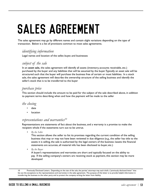# SALES AGREEMENT

The sales agreement may go by different names and contain slight variations depending on the type of transaction. Below is a list of provisions common to most sales agreements.

#### *identifying information*

Legal names and location of the seller, buyer, and businesses

#### *subject of the sale*

In an **asset sale,** the sales agreement will identify all assets (inventory, accounts receivable, etc.) purchased by the buyer and any liabilities that will be assumed by the buyer. Typically an asset sale will be structured such that the buyer will purchase the business free of certain or most liabilities. In a stock sale, the sales agreement will describe the ownership structure of the selling business and identify the seller's stock that is to be transferred to the buyer

#### *purchase price*

This section should include the amount to be paid for the subject of the sale described above, in addition to payment terms describing when and how the payment will be made to the seller

#### *the closing*

- date
- **location**

#### *representations and warranties10*

Representations are statements of fact about the business, and a warranty is a promise to make the recipient whole if the statements turn out to be untrue.

*• By the Seller*

This section allows the seller to list its promises regarding the current condition of the selling business that may or may not have been reviewed in due diligence (e.g., the seller has title to the assets it is selling, the sale is authorized by the legal owners of the business /assets the financial statements are accurate, all material info has been disclosed to buyer, etc.)

*• By the Buyer*

A buyer's representations and warranties are short and typically focused on the ability to pay. If the selling company's owners are receiving stock as payment, this section may be more developed

<sup>10</sup> Previously Disclosed Letters. Depending on the size of the sale, the parties' attorneys may each draft a "previously disclosed letter" that list out the exceptions to the representations and warranties in the sales agreement. The purpose of this letter is to provide helpful information in transferring the business to the other party and to protect the company writing the letter from liability.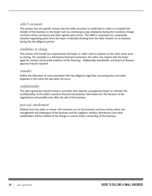#### *seller's covenants*

This section lists the specific actions that the seller promises to undertake in order to complete the transfer of the business to the buyer; such as, continuing to pay employees during the transition, change contracts where necessary, and other agreed upon terms. The seller's covenants are a potentially sensitive negotiating point since the buyer is basically dictating how the seller should run its business during the due diligence period

#### *conditions to closing*

This section will include any requirements the buyer or seller want to impose on the other party prior to closing. For example, in a third-party financed transaction, the seller may require that the buyer apply for, receive, and provide evidence of the financing. Additionally, shareholder and board of director approval may be required.

#### *remedies*

Define the allocation of costs associated with due diligence, legal fees, accounting fees, and other expenses in the event the sale does not occur

### *confidentiality*

The sales agreement should contain a provision that requires a prospective buyer to maintain the confidentiality of the seller's sensitive financial and business information for the duration of the negotiations and possibly even after the sale of the business.

### *post-sale involvement*

Address how the seller or owner will transition out of the business, and how and by whom the management and employees of the business and the suppliers, vendors, distributors and other stakeholders will be notified of the change in control and/or ownership of the business.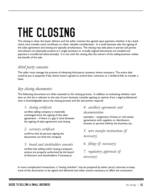# THE CLOSING

The closing is when the buyer delivers and the seller receives the agreed upon payment, whether it be a bank check, wire transfer, stock certificate, or other valuable consideration. In a small business sale, the signing of the sales agreement and closing are typically simultaneous. The closing may take place in-person (all parties and advisers are physically present at a single location) or virtually (signed documents are emailed and payment is transferred electronically). It is not until the closing that the owners of the selling business realize the benefit of the sale.

# *third party consents*

The seller must manage the process of obtaining third-party consents, where necessary. The entire deal could be put in jeopardy if key clients haven't agreed to amend their contracts or a landlord fails to transfer a lease.

# *key closing documents:*

The following documents are often essential to the closing process. In addition to evaluating whether each item on this list is relevant to the sale of your business, consider getting an opinion from a legal professional who is knowledgeable about the closing process and the documents required

### *1. closing certificate*

certifies selling company is materially unchanged since the signing of the sales agreement -- if there is a gap in time between the signing of sales agreement and closing

## *2. secretary certificate*

confirms that all persons signing the documents can bind the company

### *3. board and stockholders consents*

verifies that selling and/or buying company's actions are properly authorized by the board of directors and shareholders, if necessary)

# *4. ancillary agreements and*

#### *documentation*

examples – assignment of lease or real estate, agreements with suppliers or distributors, licenses or permits held by the business, etc.

*5. wire transfer instructions (if necessary)*

*6. filings (if necessary)*

*7. regulatory approvals (if necessary)* 

In more complicated transactions, a "closing checklist" may be prepared by either party's attorney to keep track of the documents to be signed and delivered and other actions necessary to affect the transaction.